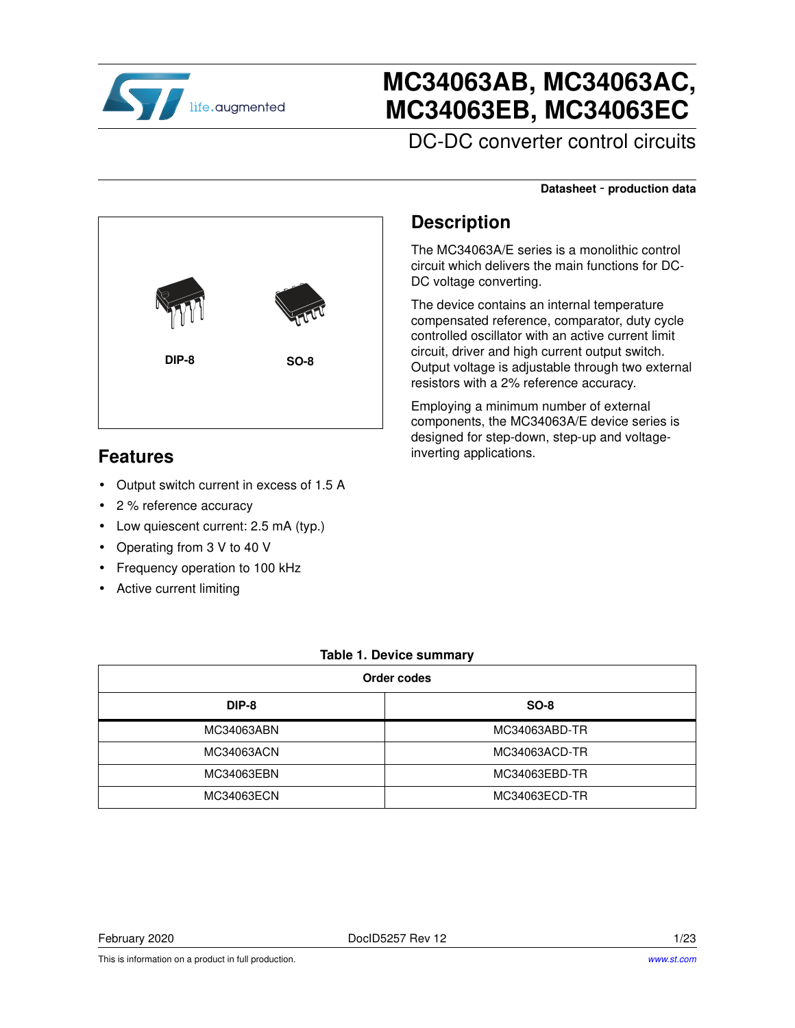

# **MC34063AB, MC34063AC, MC34063EB, MC34063EC**

DC-DC converter control circuits

#### **Datasheet** - **production data**



The MC34063A/E series is a monolithic control circuit which delivers the main functions for DC-DC voltage converting.

The device contains an internal temperature compensated reference, comparator, duty cycle controlled oscillator with an active current limit circuit, driver and high current output switch. Output voltage is adjustable through two external resistors with a 2% reference accuracy.

Employing a minimum number of external components, the MC34063A/E device series is designed for step-down, step-up and voltageinverting applications.

### **Features**

• Output switch current in excess of 1.5 A

**DIP-8 SO-8**

- 2 % reference accuracy
- Low quiescent current: 2.5 mA (typ.)
- Operating from 3 V to 40 V
- Frequency operation to 100 kHz
- Active current limiting

#### **Table 1. Device summary**

| Order codes |               |  |  |
|-------------|---------------|--|--|
| DIP-8       | <b>SO-8</b>   |  |  |
| MC34063ABN  | MC34063ABD-TR |  |  |
| MC34063ACN  | MC34063ACD-TR |  |  |
| MC34063EBN  | MC34063EBD-TR |  |  |
| MC34063ECN  | MC34063ECD-TR |  |  |

February 2020 DocID5257 Rev 12 1/23

This is information on a product in full production.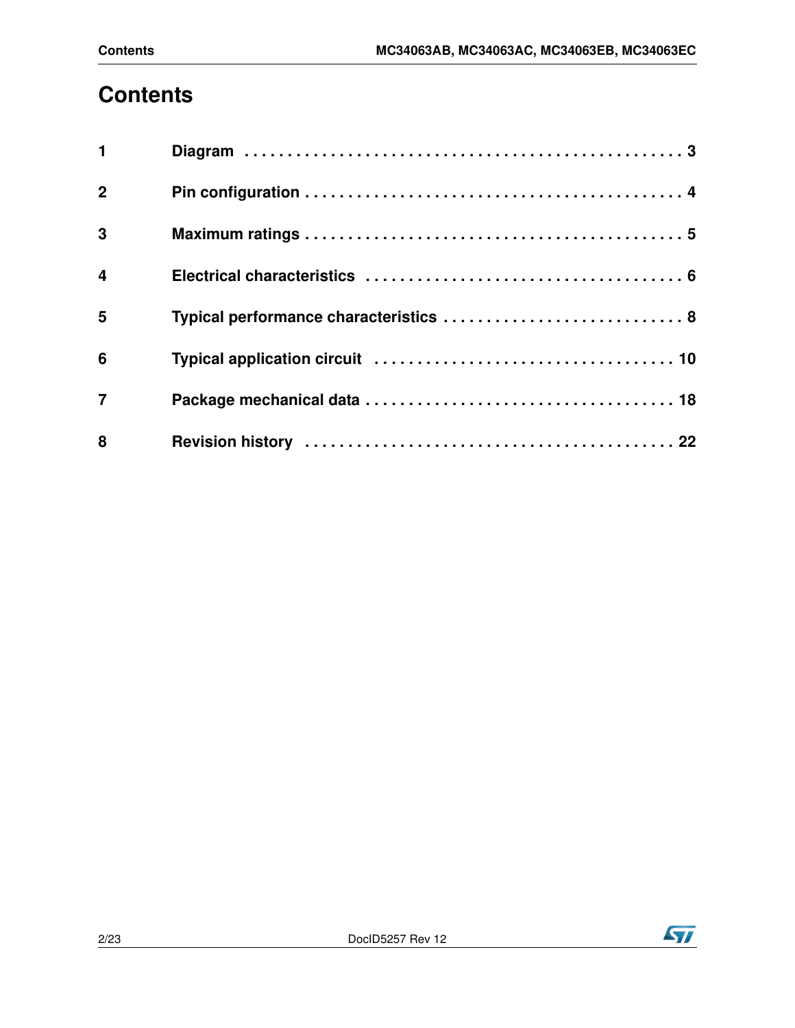# **Contents**

| $\mathbf{1}$   |                                        |
|----------------|----------------------------------------|
| $\mathbf{2}$   |                                        |
| $\mathbf{3}$   |                                        |
| $\overline{4}$ |                                        |
| 5              | Typical performance characteristics  8 |
| 6              |                                        |
| $\overline{7}$ |                                        |
| 8              |                                        |



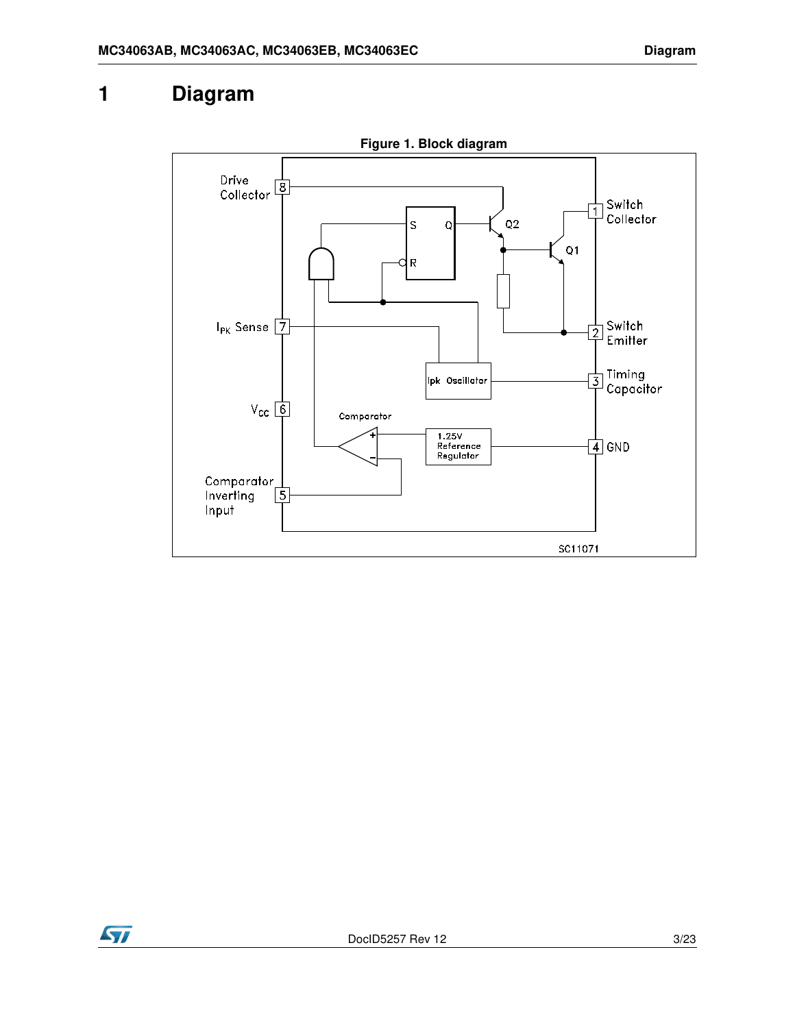### **1 Diagram**



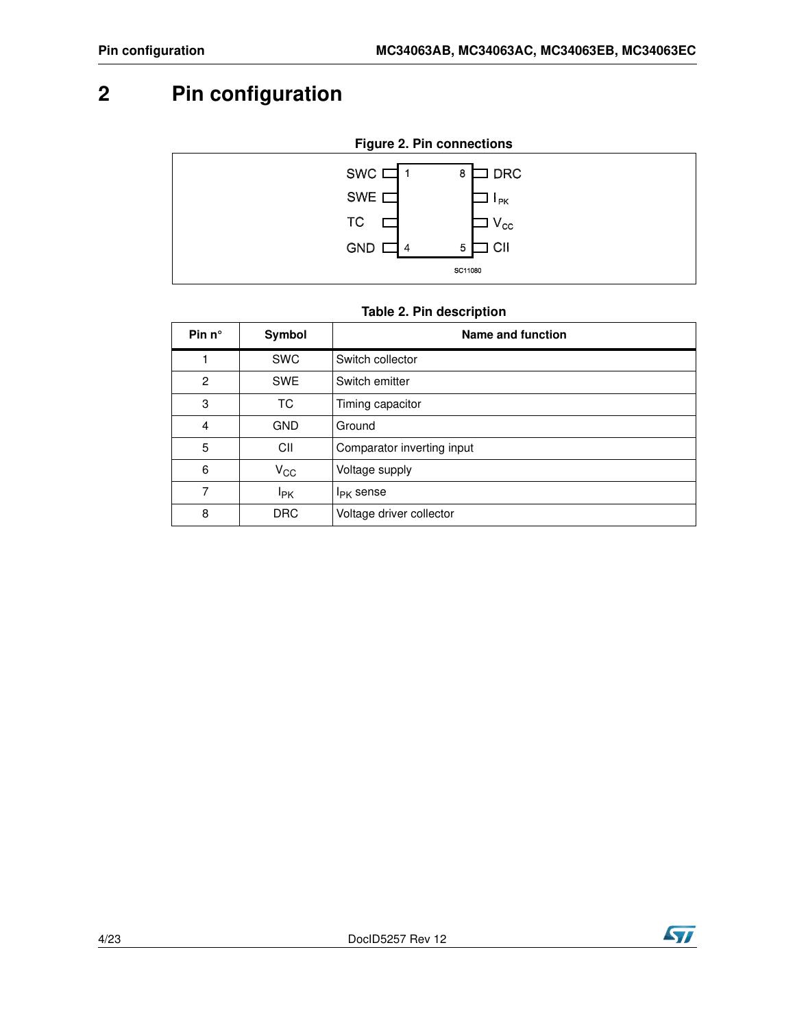## <span id="page-3-0"></span>**2 Pin configuration**



### **Table 2. Pin description**

| Pin $n^{\circ}$ | Symbol                 | Name and function          |
|-----------------|------------------------|----------------------------|
|                 | <b>SWC</b>             | Switch collector           |
| $\mathfrak{p}$  | <b>SWE</b>             | Switch emitter             |
| 3               | ТC                     | Timing capacitor           |
| 4               | <b>GND</b>             | Ground                     |
| 5               | CII                    | Comparator inverting input |
| 6               | $V_{\rm CC}$           | Voltage supply             |
| 7               | <b>I</b> <sub>PK</sub> | $I_{PK}$ sense             |
| 8               | <b>DRC</b>             | Voltage driver collector   |

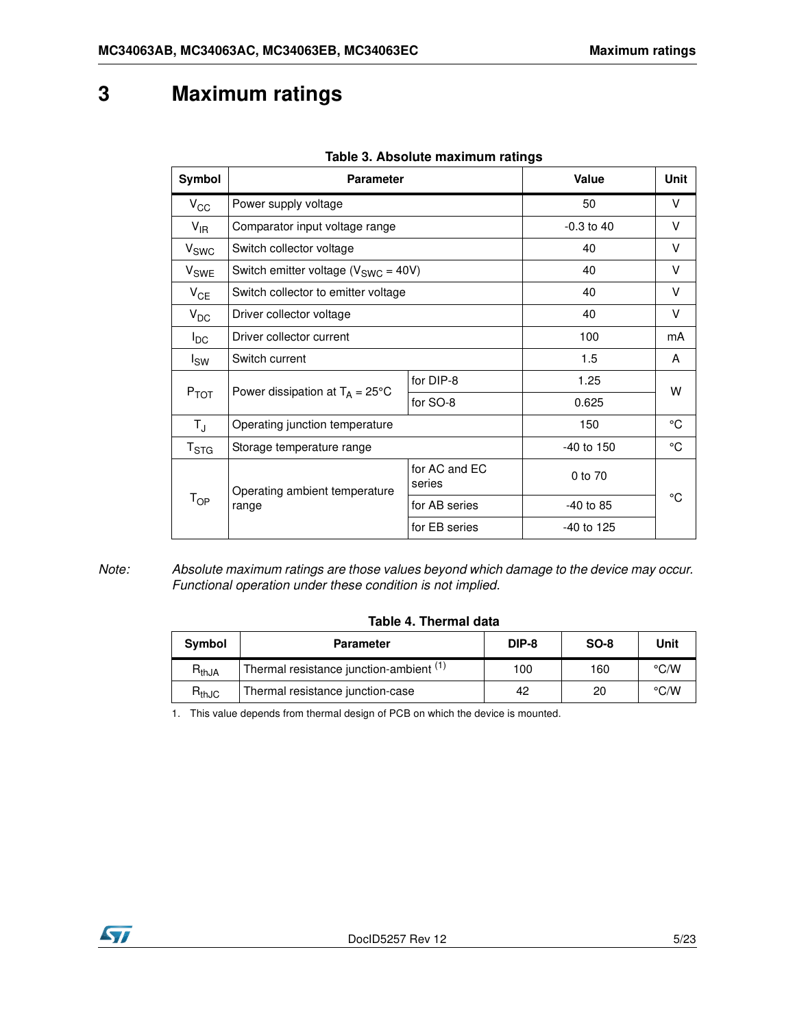## <span id="page-4-0"></span>**3 Maximum ratings**

| Symbol                     | <b>Parameter</b>                           |                         | Value        | <b>Unit</b> |
|----------------------------|--------------------------------------------|-------------------------|--------------|-------------|
| $V_{\rm CC}$               | Power supply voltage                       |                         |              | V           |
| $V_{IR}$                   | Comparator input voltage range             |                         | $-0.3$ to 40 | V           |
| V <sub>SWC</sub>           | Switch collector voltage                   |                         | 40           | V           |
| V <sub>SWE</sub>           | Switch emitter voltage ( $V_{SWC} = 40V$ ) |                         | 40           | V           |
| $V_{CE}$                   | Switch collector to emitter voltage        |                         | 40           | V           |
| $V_{DC}$                   | Driver collector voltage                   |                         | 40           | V           |
| $I_{DC}$                   | Driver collector current                   |                         | 100          | mA          |
| $I_{SW}$                   | Switch current                             |                         | 1.5          | A           |
|                            |                                            | for DIP-8               | 1.25         |             |
| $P_{TOT}$                  | Power dissipation at $T_A = 25^{\circ}C$   | for SO-8                | 0.625        | w           |
| $T_{\rm J}$                | Operating junction temperature             |                         | 150          | °C          |
| $\mathsf{T}_{\text{STG}}$  | Storage temperature range                  |                         | $-40$ to 150 | °C          |
|                            | Operating ambient temperature              | for AC and EC<br>series | 0 to 70      |             |
| $\mathsf{T}_{\mathsf{OP}}$ | range                                      | for AB series           | $-40$ to 85  | °C          |
|                            |                                            | for EB series           | $-40$ to 125 |             |

#### **Table 3. Absolute maximum ratings**

*Note: Absolute maximum ratings are those values beyond which damage to the device may occur. Functional operation under these condition is not implied.*

#### **Table 4. Thermal data**

| Symbol                       | <b>Parameter</b>                                   | DIP-8 | $SO-8$ | Unit               |
|------------------------------|----------------------------------------------------|-------|--------|--------------------|
| $R_{thJA}$                   | Thermal resistance junction-ambient <sup>(1)</sup> | 100   | 160    | $\rm ^{\circ}$ C/W |
| $\mathsf{R}_{\mathsf{thJC}}$ | Thermal resistance junction-case                   | 42    | 20     | $\rm ^{\circ}$ C/W |

1. This value depends from thermal design of PCB on which the device is mounted.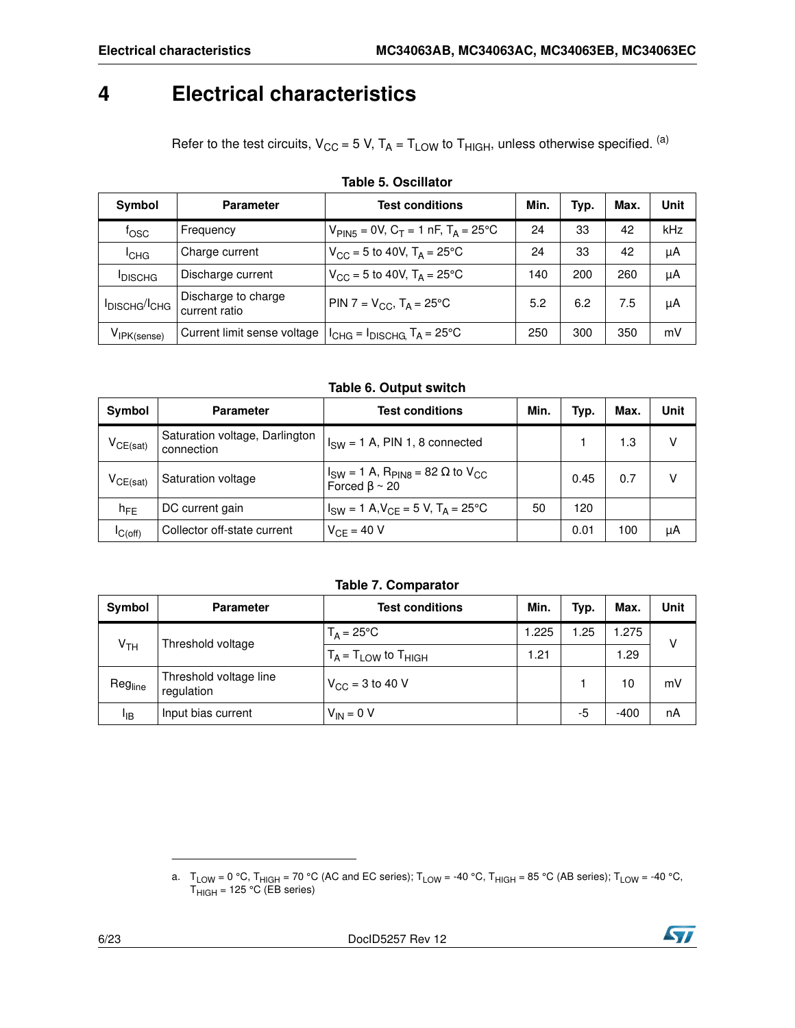### <span id="page-5-0"></span>**4 Electrical characteristics**

Refer to the test circuits,  $V_{CC} = 5 V$ ,  $T_A = T_{LOW}$  to  $T_{HIGH}$ , unless otherwise specified. (a)

| Symbol                                | <b>Parameter</b>                     | <b>Test conditions</b>                                     | Min. | Typ. | Max. | Unit |
|---------------------------------------|--------------------------------------|------------------------------------------------------------|------|------|------|------|
| $f_{\rm OSC}$                         | Frequency                            | $V_{\text{PIN5}} = 0V$ , $C_T = 1$ nF, $T_A = 25^{\circ}C$ | 24   | 33   | 42   | kHz  |
| <sup>I</sup> CHG                      | Charge current                       | $V_{\text{CC}} = 5$ to 40V, $T_A = 25^{\circ}$ C           | 24   | 33   | 42   | μA   |
| <b>IDISCHG</b>                        | Discharge current                    | $V_{\text{CC}} = 5$ to 40V, $T_A = 25^{\circ}$ C           | 140  | 200  | 260  | μA   |
| I <sub>DISCHG</sub> /I <sub>CHG</sub> | Discharge to charge<br>current ratio | PIN 7 = $V_{CC}$ , T <sub>A</sub> = 25°C                   | 5.2  | 6.2  | 7.5  | μA   |
| $V_{IFK(sense)}$                      | Current limit sense voltage          | $I_{CHG} = I_{DISCHG,} T_A = 25$ °C                        | 250  | 300  | 350  | mV   |

#### **Table 5. Oscillator**

**Table 6. Output switch**

| Symbol        | <b>Parameter</b>                             | <b>Test conditions</b>                                                                       | Min. | Typ. | Max. | Unit |
|---------------|----------------------------------------------|----------------------------------------------------------------------------------------------|------|------|------|------|
| $V_{CE(sat)}$ | Saturation voltage, Darlington<br>connection | $I_{SW} = 1$ A, PIN 1, 8 connected                                                           |      |      | 1.3  |      |
| $V_{CE(sat)}$ | Saturation voltage                           | $I_{SW}$ = 1 A, R <sub>PIN8</sub> = 82 $\Omega$ to V <sub>CC</sub><br>Forced $\beta \sim 20$ |      | 0.45 | 0.7  |      |
| $h_{FE}$      | DC current gain                              | $I_{SW} = 1$ A, $V_{CF} = 5$ V, $T_A = 25$ °C                                                | 50   | 120  |      |      |
| IC(off)       | Collector off-state current                  | $V_{CF} = 40 V$                                                                              |      | 0.01 | 100  | μA   |

#### **Table 7. Comparator**

<span id="page-5-1"></span>

| <b>Symbol</b>   | <b>Parameter</b>                     | <b>Test conditions</b>        | Min.  | Typ. | Max.   | <b>Unit</b> |
|-----------------|--------------------------------------|-------------------------------|-------|------|--------|-------------|
|                 | Threshold voltage                    | $T_A = 25^{\circ}C$           | 1.225 | .25  | 1.275  | v           |
| Ѵ <sub>тн</sub> |                                      | $T_A = T_{LOW}$ to $T_{HIGH}$ | 1.21  |      | .29    |             |
| Regline         | Threshold voltage line<br>regulation | $V_{CC}$ = 3 to 40 V          |       |      | 10     | mV          |
| ЧB              | Input bias current                   | $V_{IN} = 0 V$                |       | -5   | $-400$ | nA          |



a.  $\,$  T $_{\rm{LOW}}$  = 0 °C, T $_{\rm{HIGH}}$  = 70 °C (AC and EC series); T $_{\rm{LOW}}$  = -40 °C, T $_{\rm{HIGH}}$  = 85 °C (AB series); T $_{\rm{LOW}}$  = -40 °C, T<sub>HIGH</sub> = 125 °C (EB series)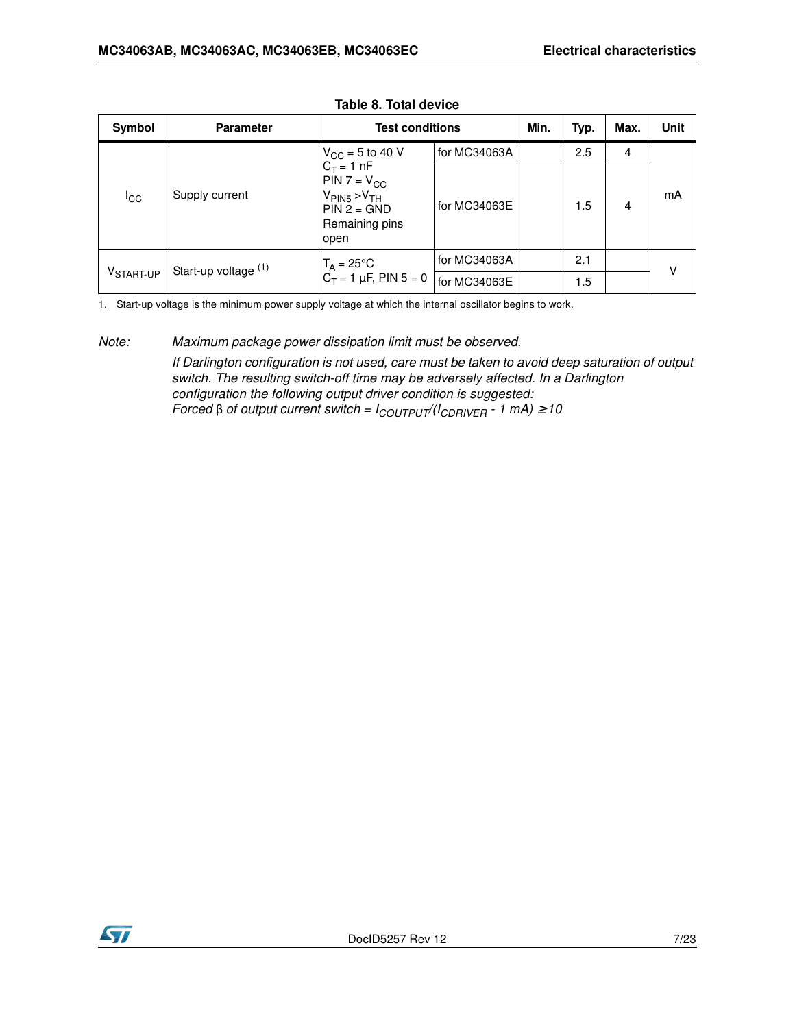| Symbol                | <b>Parameter</b>     | <b>Test conditions</b>                                                                                           |              | Min. | Typ. | Max. | <b>Unit</b> |
|-----------------------|----------------------|------------------------------------------------------------------------------------------------------------------|--------------|------|------|------|-------------|
|                       |                      | $V_{CC}$ = 5 to 40 V                                                                                             | for MC34063A |      | 2.5  | 4    |             |
| ICC                   | Supply current       | $C_T = 1 nF$<br>$PIN 7 = V_{CC}$<br>$V_{\text{PIN5}} > V_{\text{TH}}$<br>$PIN 2 = GND$<br>Remaining pins<br>open | for MC34063E |      | 1.5  | 4    | mA          |
|                       | Start-up voltage (1) | $T_A = 25^{\circ}$ C                                                                                             | for MC34063A |      | 2.1  |      | v           |
| V <sub>START-UP</sub> |                      | $C_T = 1 \mu F$ , PIN 5 = 0                                                                                      | for MC34063E |      | 1.5  |      |             |

#### **Table 8. Total device**

1. Start-up voltage is the minimum power supply voltage at which the internal oscillator begins to work.

#### *Note: Maximum package power dissipation limit must be observed.*

*If Darlington configuration is not used, care must be taken to avoid deep saturation of output switch. The resulting switch-off time may be adversely affected. In a Darlington configuration the following output driver condition is suggested: Forced* β *of output current switch = ICOUTPUT/(ICDRIVER - 1 mA)* ≥ *10*

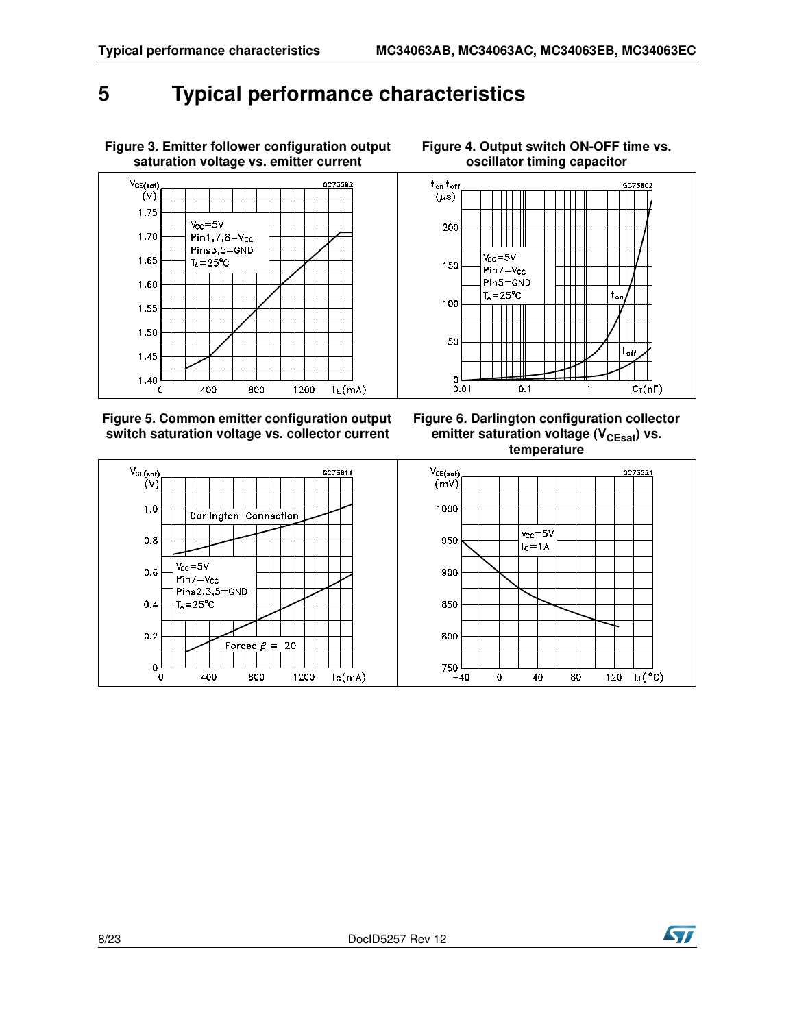## <span id="page-7-0"></span>**5 Typical performance characteristics**



**Figure 3. Emitter follower configuration output** 

**Figure 5. Common emitter configuration output switch saturation voltage vs. collector current**

**Figure 4. Output switch ON-OFF time vs. oscillator timing capacitor**







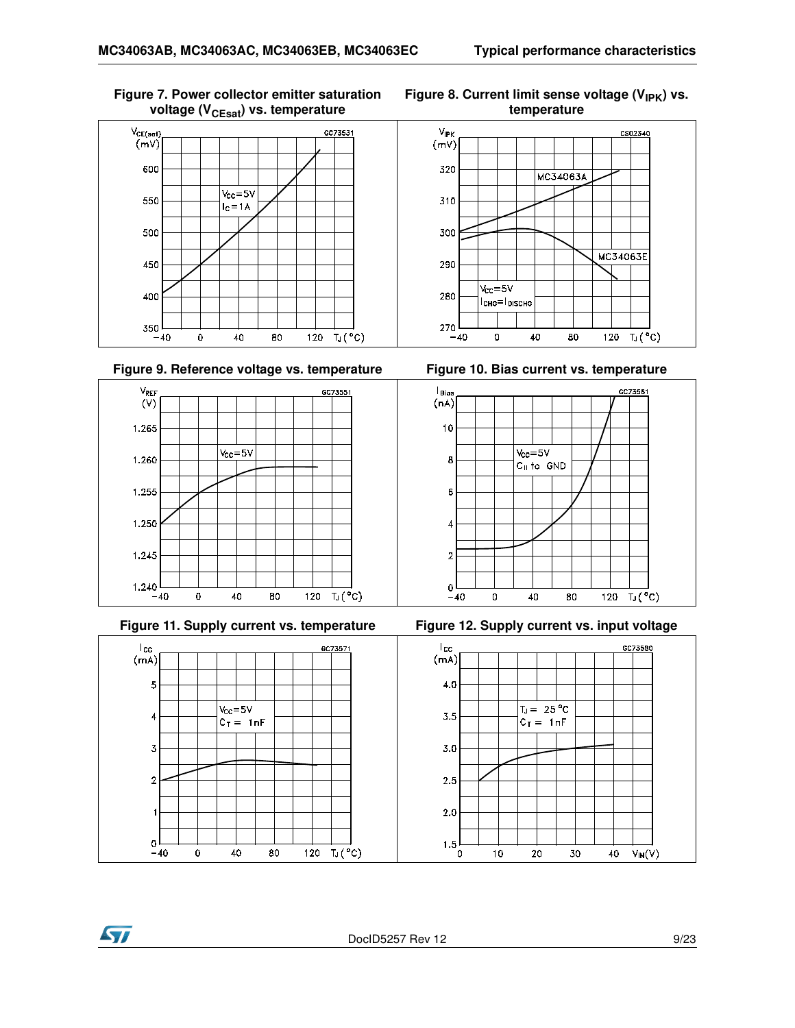#### **Figure 7. Power collector emitter saturation voltage (V<sub>CEsat</sub>) vs. temperature**











**Ayy** 

Figure 8. Current limit sense voltage (V<sub>IPK</sub>) vs. **temperature**









DocID5257 Rev 12 9/23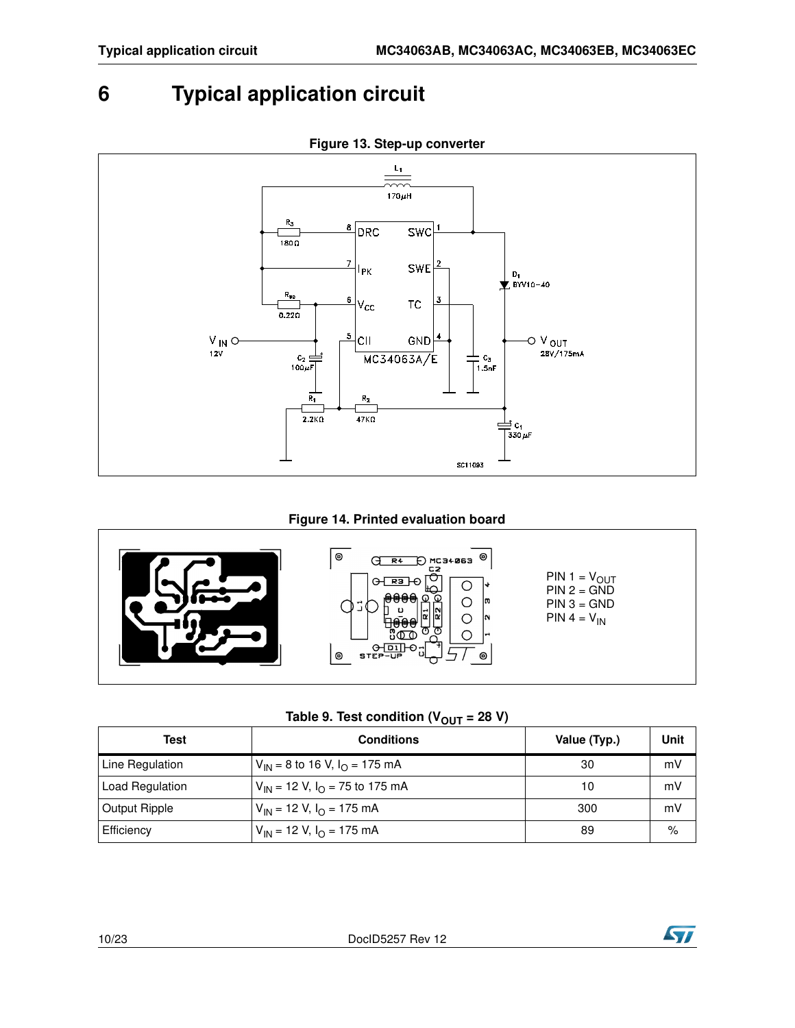## <span id="page-9-0"></span>**6 Typical application circuit**



#### **Figure 13. Step-up converter**

#### **Figure 14. Printed evaluation board**



Table 9. Test condition  $(V_{\text{OUT}} = 28 V)$ 

|                      | ---                                     |              |      |
|----------------------|-----------------------------------------|--------------|------|
| Test                 | <b>Conditions</b>                       | Value (Typ.) | Unit |
| Line Regulation      | $V_{IN}$ = 8 to 16 V, $I_{O}$ = 175 mA  | 30           | mV   |
| Load Regulation      | $V_{IN}$ = 12 V, $I_{O}$ = 75 to 175 mA | 10           | mV   |
| <b>Output Ripple</b> | $V_{IN}$ = 12 V, $I_{O}$ = 175 mA       | 300          | mV   |
| Efficiency           | $V_{IN}$ = 12 V, $I_{O}$ = 175 mA       | 89           | %    |

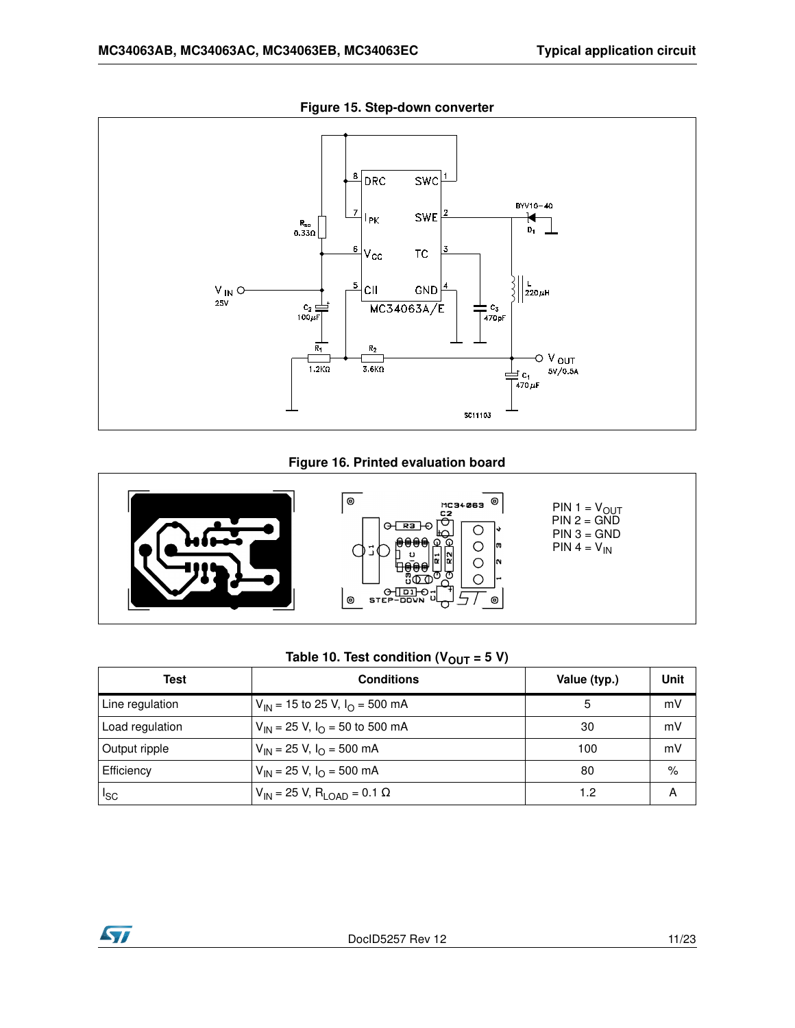

**Figure 15. Step-down converter**

#### **Figure 16. Printed evaluation board**



### Table 10. Test condition  $(V_{OUT} = 5 V)$

| Test            | <b>Conditions</b>                                 | Value (typ.) | Unit |
|-----------------|---------------------------------------------------|--------------|------|
| Line regulation | $V_{IN}$ = 15 to 25 V, $I_{O}$ = 500 mA           | 5            | mV   |
| Load regulation | $V_{IN}$ = 25 V, $I_{O}$ = 50 to 500 mA           | 30           | mV   |
| Output ripple   | $V_{\text{IN}}$ = 25 V, $I_{\Omega}$ = 500 mA     | 100          | mV   |
| Efficiency      | $V_{\text{IN}}$ = 25 V, $I_{\Omega}$ = 500 mA     | 80           | $\%$ |
| I <sub>SC</sub> | $V_{IN}$ = 25 V, R <sub>LOAD</sub> = 0.1 $\Omega$ | 1.2          | А    |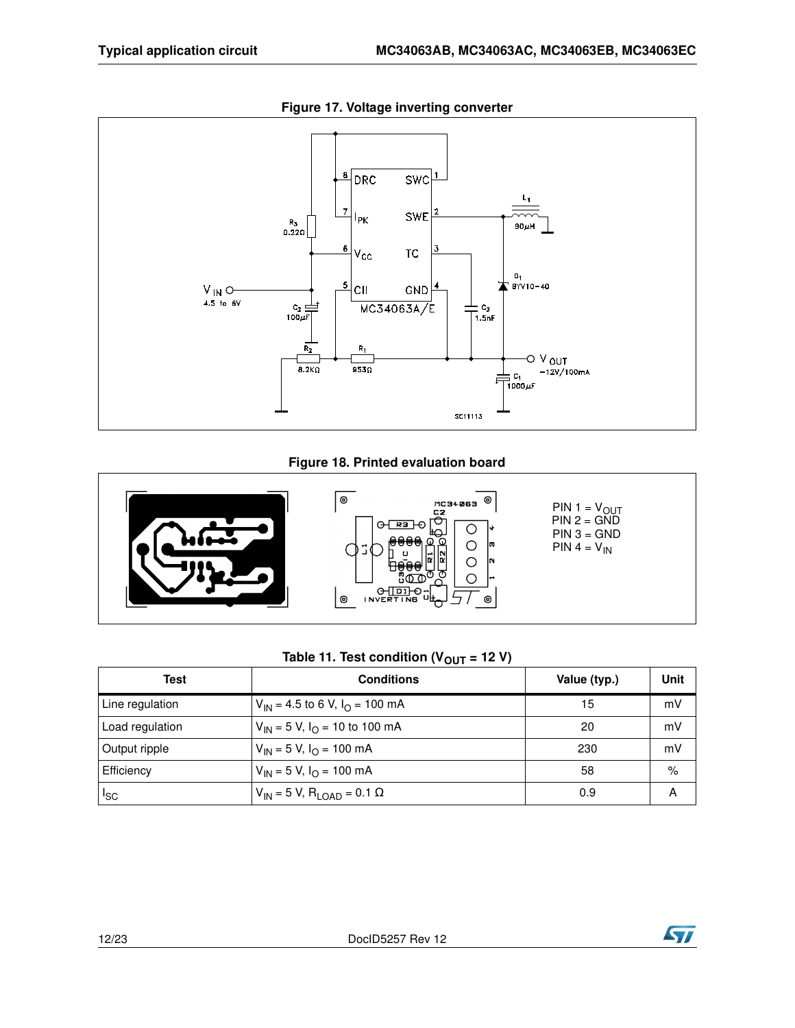

**Figure 17. Voltage inverting converter**

#### **Figure 18. Printed evaluation board**



### Table 11. Test condition  $(V_{OUT} = 12 V)$

| Test            | <b>Conditions</b>                                | Value (typ.) | Unit |
|-----------------|--------------------------------------------------|--------------|------|
| Line regulation | $V_{IN}$ = 4.5 to 6 V, $I_{O}$ = 100 mA          | 15           | mV   |
| Load regulation | $V_{IN}$ = 5 V, $I_{O}$ = 10 to 100 mA           | 20           | mV   |
| Output ripple   | $V_{IN}$ = 5 V, $I_{O}$ = 100 mA                 | 230          | mV   |
| Efficiency      | $V_{1N}$ = 5 V, $I_{\Omega}$ = 100 mA            | 58           | $\%$ |
| $I_{SC}$        | $V_{IN}$ = 5 V, R <sub>LOAD</sub> = 0.1 $\Omega$ | 0.9          | A    |



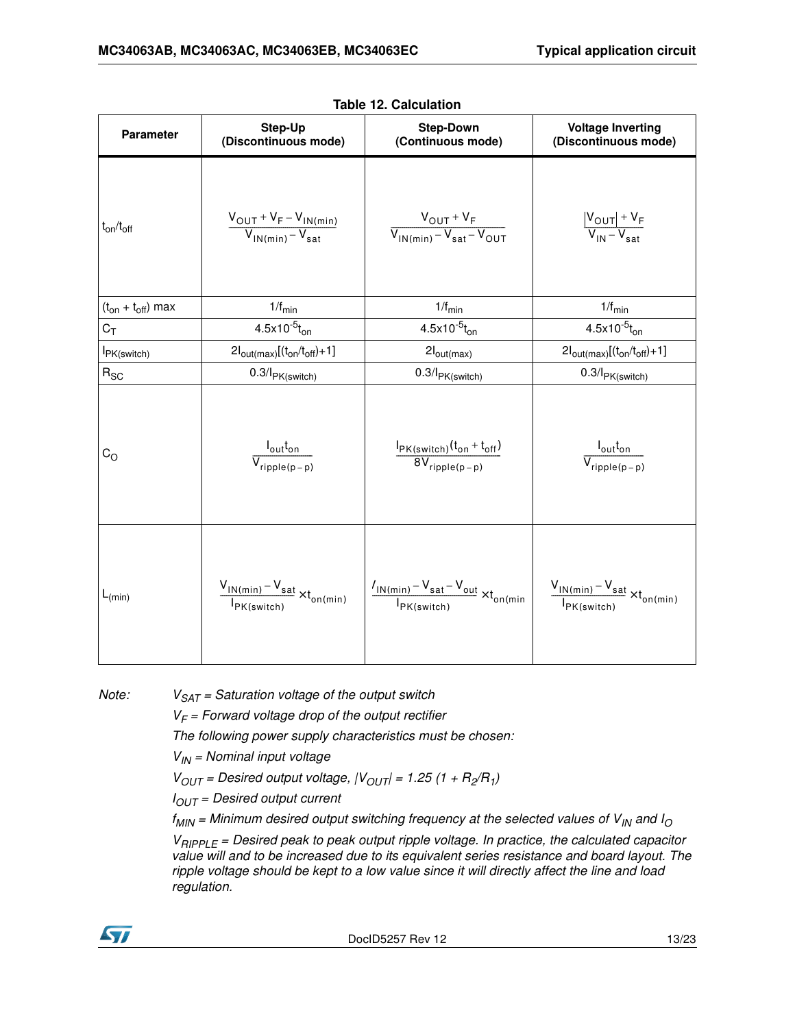| <b>Parameter</b>         | <b>Step-Up</b><br>(Discontinuous mode)                         | <b>Step-Down</b><br>(Continuous mode)                                                          | <b>Voltage Inverting</b><br>(Discontinuous mode)                           |  |
|--------------------------|----------------------------------------------------------------|------------------------------------------------------------------------------------------------|----------------------------------------------------------------------------|--|
| $t_{on}/t_{off}$         | $\frac{V_{OUT}+V_F-V_{IN(min)}}{V_{IN(min)}-V_{sat}}$          | $\frac{V_{OUT} + V_F}{V_{IN(min)} - V_{sat} - V_{OUT}}$                                        | $\frac{ V_{\text{OUT}}  + V_{\text{F}}}{ V_{\text{IN}} - V_{\text{sat}} }$ |  |
| $(t_{on} + t_{off})$ max | $1/f_{\text{min}}$                                             | $1/f_{\text{min}}$                                                                             | $1/f_{\text{min}}$                                                         |  |
| $C_T$                    | $4.5x10^{-5}t_{on}$                                            | $4.5x10^{-5}t_{on}$                                                                            | $4.5x10^{-5}t_{on}$                                                        |  |
| I <sub>PK</sub> (switch) | $2I_{\text{out(max)}}[(t_{\text{on}}/t_{\text{off}})+1]$       | $2I_{\text{out(max)}}$                                                                         | $2I_{\text{out(max)}}[(t_{\text{on}}/t_{\text{off}})+1]$                   |  |
| $R_{SC}$                 | $0.3$ / $PK(switch)$                                           | $0.3$ / $PK(switch)$                                                                           | $0.3$ / $PK(switch)$                                                       |  |
| $C_{\rm O}$              | $\frac{I_{\text{out}}t_{\text{on}}}{V_{\text{ripple}(p-p)}}$   | $\frac{I_{PK(switch)}(t_{on}+t_{off})}{8V_{ripple(p-p)}}$                                      | $\frac{I_{out}t_{on}}{V_{ripple(p-p)}}$                                    |  |
| $L_{(min)}$              | $\frac{V_{IN(min)} - V_{sat}}{I_{PK(sub)} \times t_{on(min)}}$ | $V_{IN(\underbar{min})} - V_{sat} - V_{out} \times t_{on(\underbar{min})}$<br>$I_{PK(switch)}$ | $\frac{V_{IN(min)} - V_{sat}}{V_{on(min)}}$<br>$I_{PK(switch)}$            |  |

*Note: VSAT = Saturation voltage of the output switch*

*VF = Forward voltage drop of the output rectifier*

*The following power supply characteristics must be chosen:*

*VIN = Nominal input voltage*

 $V_{OUT}$  = Desired output voltage,  $|V_{OUT}|$  = 1.25 (1 +  $R_2/R_1$ )

*IOUT = Desired output current*

*fMIN = Minimum desired output switching frequency at the selected values of VIN and I<sup>O</sup>*

*VRIPPLE = Desired peak to peak output ripple voltage. In practice, the calculated capacitor value will and to be increased due to its equivalent series resistance and board layout. The ripple voltage should be kept to a low value since it will directly affect the line and load regulation.*

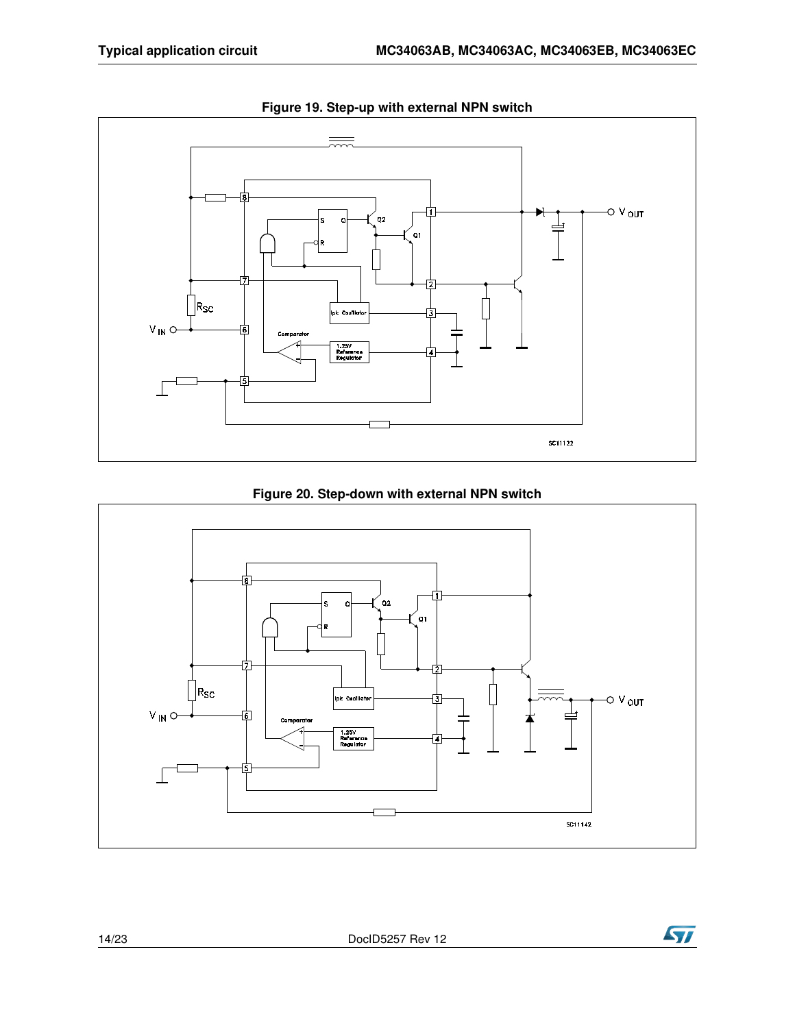

**Figure 19. Step-up with external NPN switch**





**Ayr**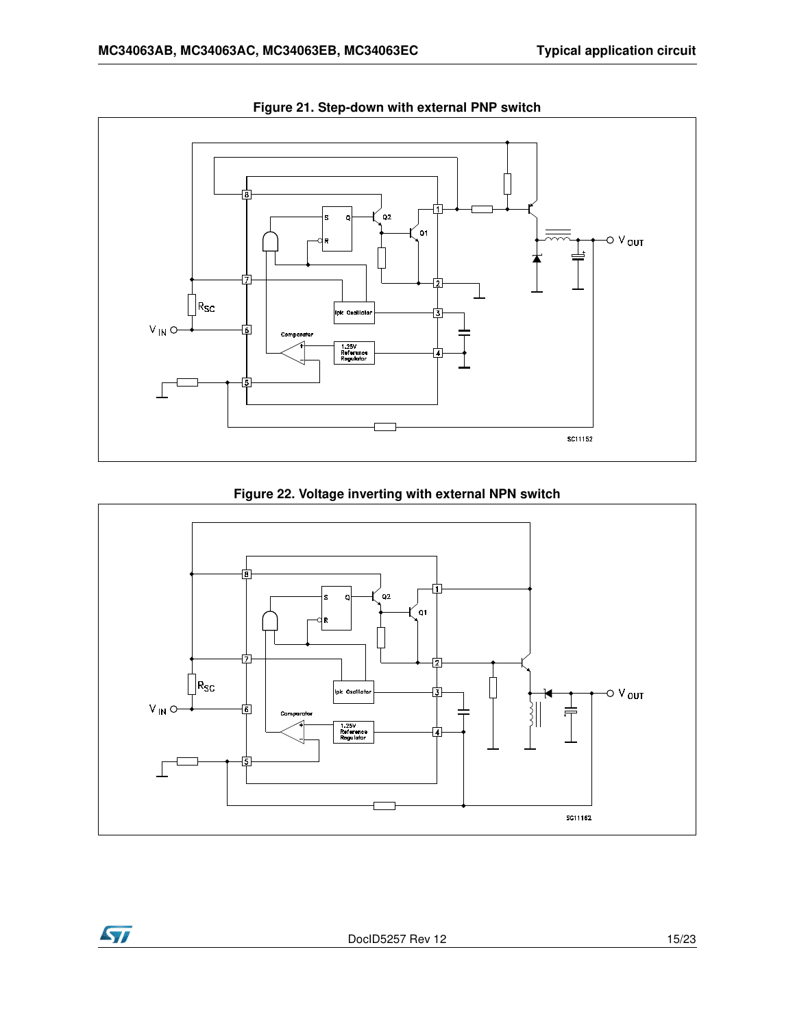

**Figure 21. Step-down with external PNP switch** 





**Ayy**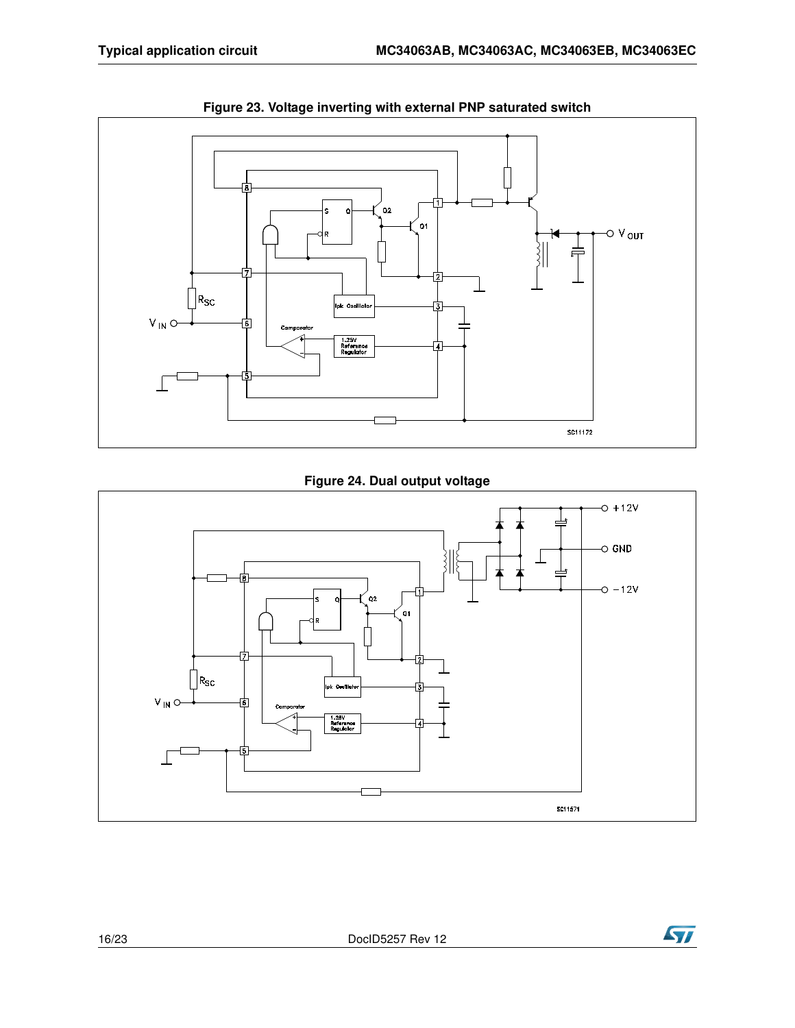

**Figure 23. Voltage inverting with external PNP saturated switch**

**Figure 24. Dual output voltage**



**Ayr**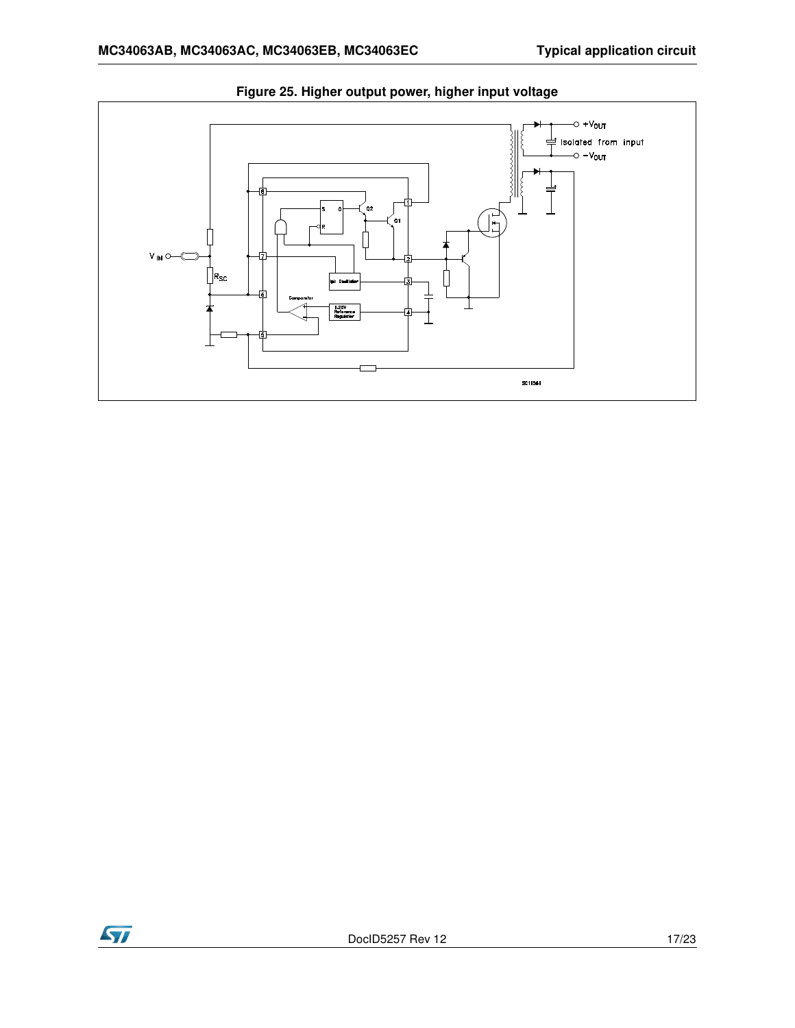

**Figure 25. Higher output power, higher input voltage**

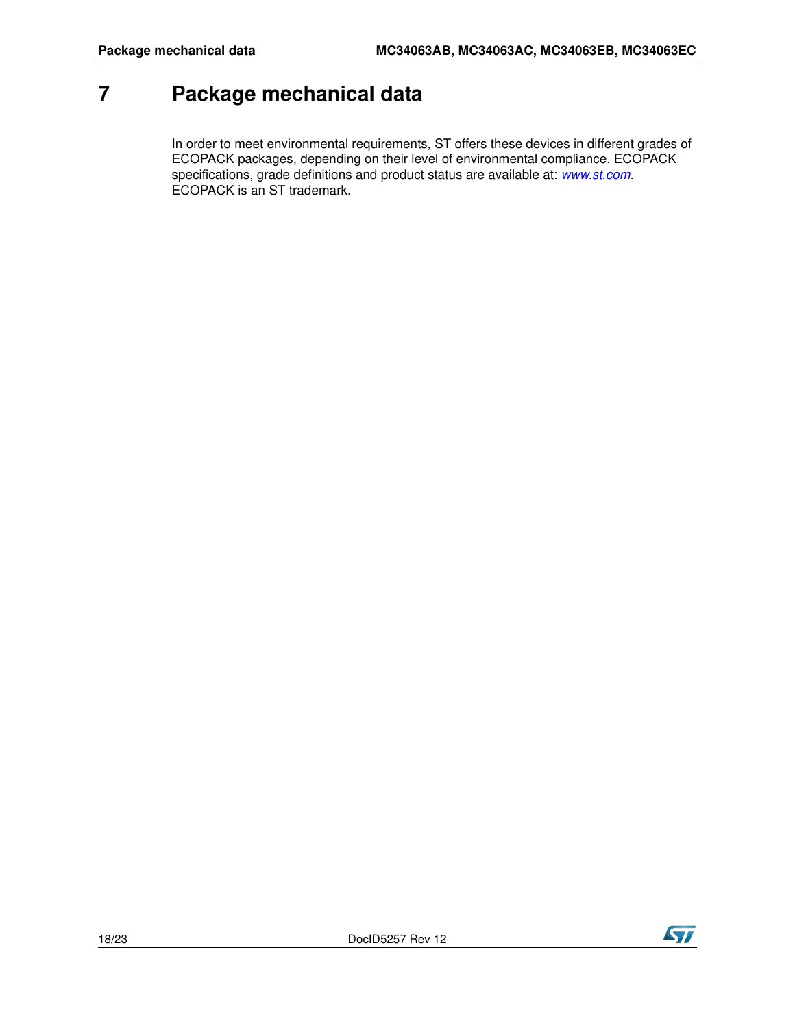## <span id="page-17-0"></span>**7 Package mechanical data**

In order to meet environmental requirements, ST offers these devic[es in different](http://www.st.com) grades of ECOPACK packages, depending on their level of environmental compliance. ECOPACK specifications, grade definitions and product status are available at: *www.st.com*. ECOPACK is an ST trademark.

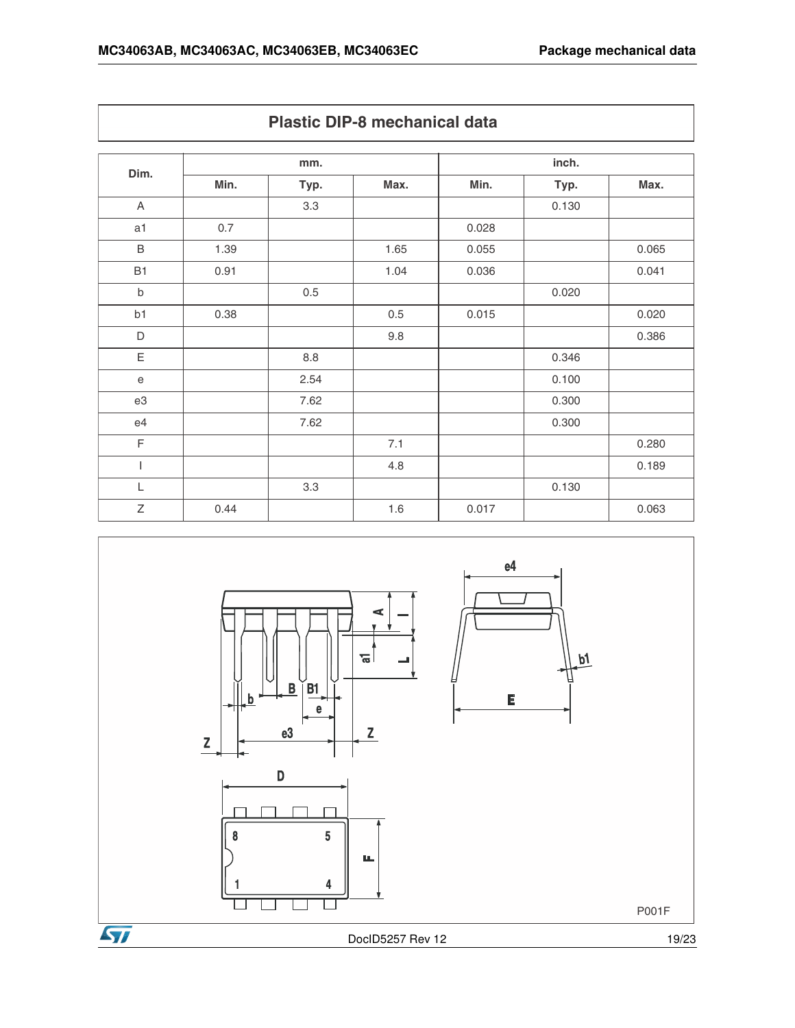| Dim.        | mm.  |         |      | inch. |       |       |
|-------------|------|---------|------|-------|-------|-------|
|             | Min. | Typ.    | Max. | Min.  | Typ.  | Max.  |
| A           |      | 3.3     |      |       | 0.130 |       |
| a1          | 0.7  |         |      | 0.028 |       |       |
| $\sf B$     | 1.39 |         | 1.65 | 0.055 |       | 0.065 |
| <b>B1</b>   | 0.91 |         | 1.04 | 0.036 |       | 0.041 |
| $\sf b$     |      | 0.5     |      |       | 0.020 |       |
| b1          | 0.38 |         | 0.5  | 0.015 |       | 0.020 |
| D           |      |         | 9.8  |       |       | 0.386 |
| Ε           |      | $8.8\,$ |      |       | 0.346 |       |
| $\mathbf e$ |      | 2.54    |      |       | 0.100 |       |
| e3          |      | 7.62    |      |       | 0.300 |       |
| e4          |      | 7.62    |      |       | 0.300 |       |
| $\mathsf F$ |      |         | 7.1  |       |       | 0.280 |
|             |      |         | 4.8  |       |       | 0.189 |
| L           |      | 3.3     |      |       | 0.130 |       |
| Z           | 0.44 |         | 1.6  | 0.017 |       | 0.063 |



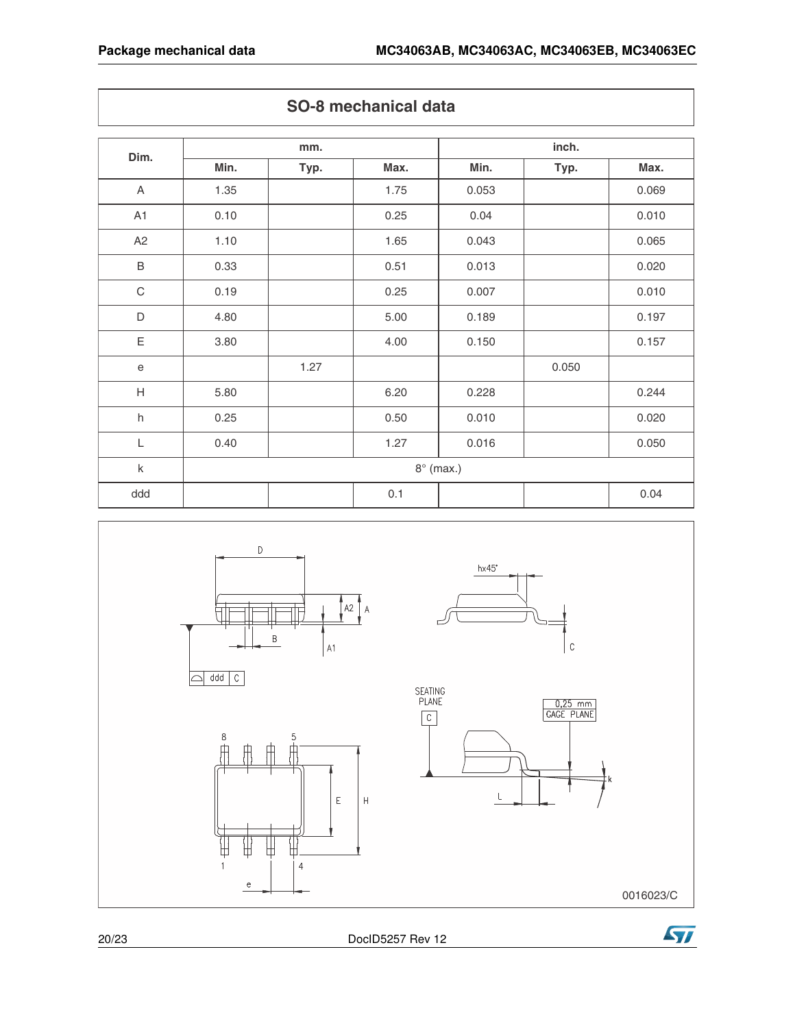| Dim.                      | mm.              |      |      | inch. |       |       |
|---------------------------|------------------|------|------|-------|-------|-------|
|                           | Min.             | Typ. | Max. | Min.  | Typ.  | Max.  |
| $\boldsymbol{\mathsf{A}}$ | 1.35             |      | 1.75 | 0.053 |       | 0.069 |
| A1                        | 0.10             |      | 0.25 | 0.04  |       | 0.010 |
| A <sub>2</sub>            | 1.10             |      | 1.65 | 0.043 |       | 0.065 |
| $\mathsf B$               | 0.33             |      | 0.51 | 0.013 |       | 0.020 |
| $\mathbf C$               | 0.19             |      | 0.25 | 0.007 |       | 0.010 |
| D                         | 4.80             |      | 5.00 | 0.189 |       | 0.197 |
| Ε                         | 3.80             |      | 4.00 | 0.150 |       | 0.157 |
| $\mathsf e$               |                  | 1.27 |      |       | 0.050 |       |
| H                         | 5.80             |      | 6.20 | 0.228 |       | 0.244 |
| $\sf h$                   | 0.25             |      | 0.50 | 0.010 |       | 0.020 |
| L                         | 0.40             |      | 1.27 | 0.016 |       | 0.050 |
| $\sf k$                   | $8^\circ$ (max.) |      |      |       |       |       |
| ddd                       |                  |      | 0.1  |       |       | 0.04  |





0016023/C

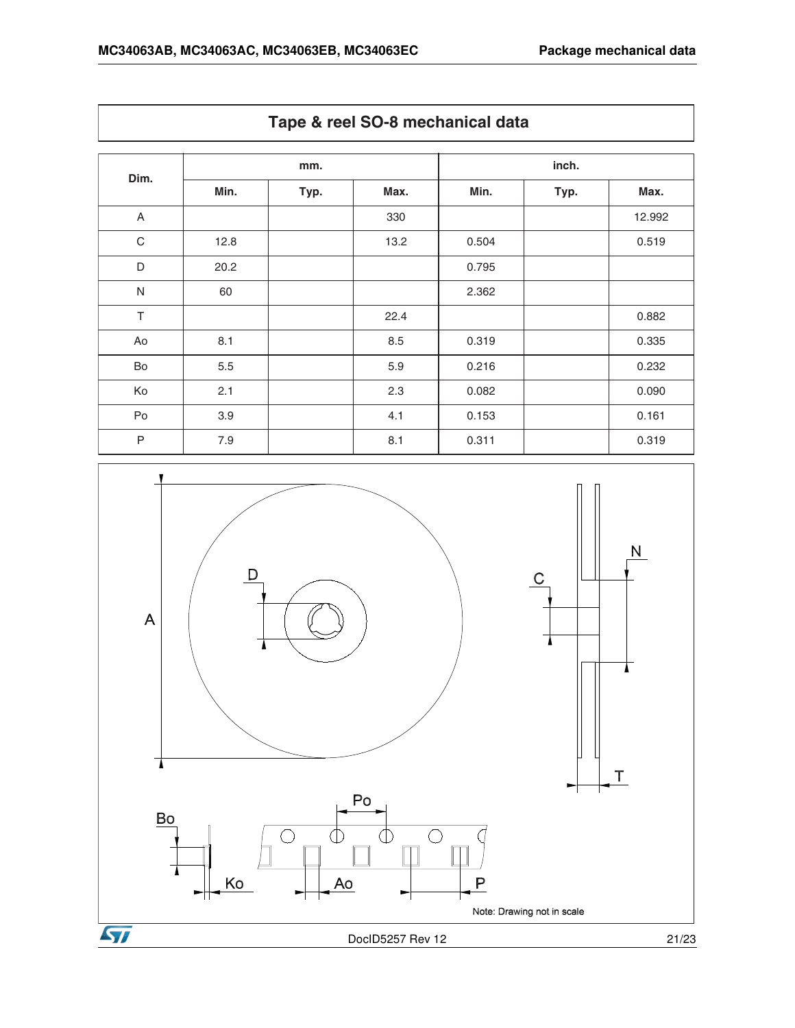| Dim.                    | mm.  |      |      | inch. |      |        |
|-------------------------|------|------|------|-------|------|--------|
|                         | Min. | Typ. | Max. | Min.  | Typ. | Max.   |
| $\overline{\mathsf{A}}$ |      |      | 330  |       |      | 12.992 |
| $\mathbf C$             | 12.8 |      | 13.2 | 0.504 |      | 0.519  |
| D                       | 20.2 |      |      | 0.795 |      |        |
| ${\sf N}$               | 60   |      |      | 2.362 |      |        |
| $\top$                  |      |      | 22.4 |       |      | 0.882  |
| Ao                      | 8.1  |      | 8.5  | 0.319 |      | 0.335  |
| Bo                      | 5.5  |      | 5.9  | 0.216 |      | 0.232  |
| Ko                      | 2.1  |      | 2.3  | 0.082 |      | 0.090  |
| Po                      | 3.9  |      | 4.1  | 0.153 |      | 0.161  |
| $\mathsf P$             | 7.9  |      | 8.1  | 0.311 |      | 0.319  |

**Tape & reel SO-8 mechanical data**

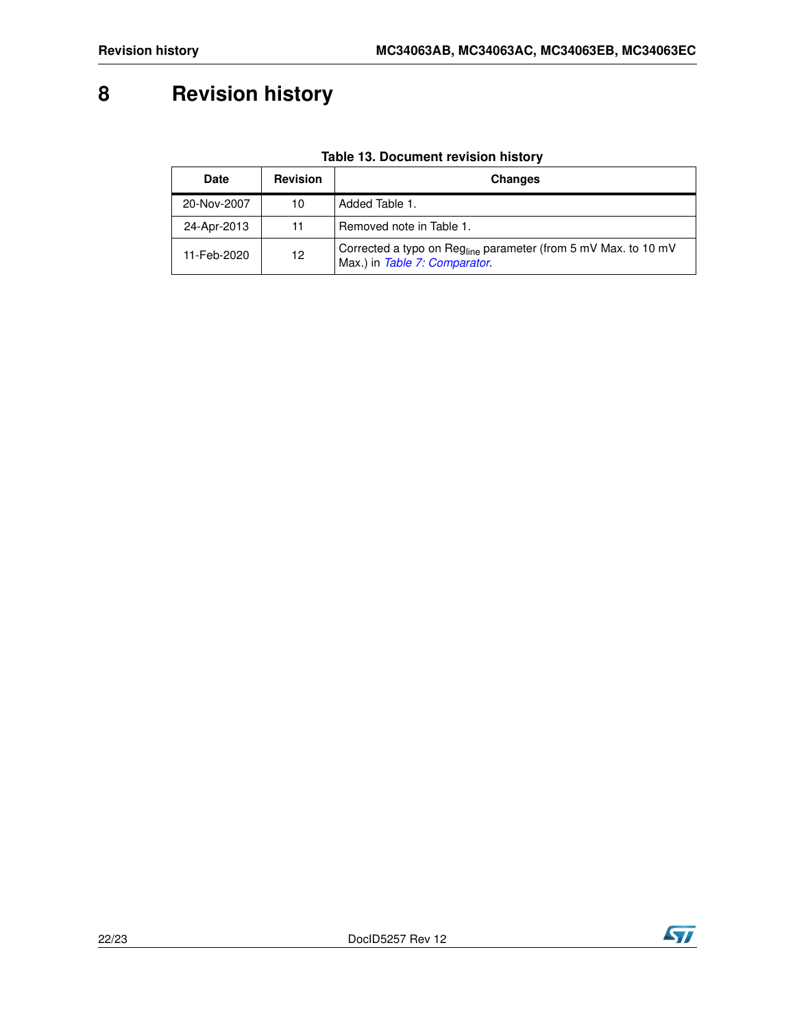# <span id="page-21-0"></span>**8 Revision history**

| <b>Date</b> | <b>Revision</b> | <b>Changes</b>                                                                                              |
|-------------|-----------------|-------------------------------------------------------------------------------------------------------------|
| 20-Nov-2007 | 10              | Added Table 1.                                                                                              |
| 24-Apr-2013 | 11              | Removed note in Table 1.                                                                                    |
| 11-Feb-2020 | 12              | Corrected a typo on Reg <sub>line</sub> parameter (from 5 mV Max. to 10 mV<br>Max.) in Table 7: Comparator. |

#### **Table 13. Document revision history**